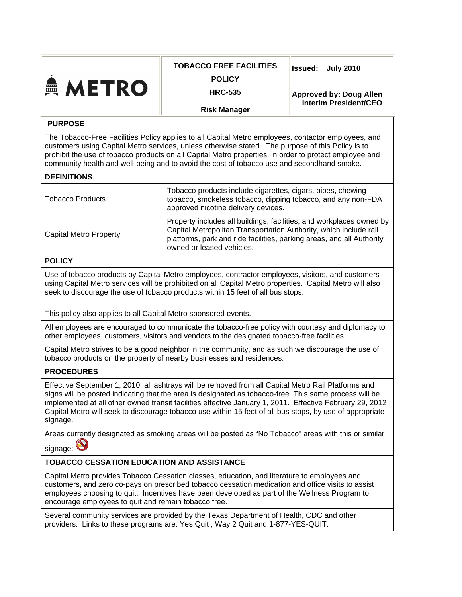| <b>A METRO</b>                                                                                                                                                                                                                                                                                                                                                                                                                                    | <b>TOBACCO FREE FACILITIES</b><br><b>POLICY</b><br><b>HRC-535</b>                                                                                                                                                                               | <b>Issued:</b><br><b>July 2010</b>                             |
|---------------------------------------------------------------------------------------------------------------------------------------------------------------------------------------------------------------------------------------------------------------------------------------------------------------------------------------------------------------------------------------------------------------------------------------------------|-------------------------------------------------------------------------------------------------------------------------------------------------------------------------------------------------------------------------------------------------|----------------------------------------------------------------|
|                                                                                                                                                                                                                                                                                                                                                                                                                                                   |                                                                                                                                                                                                                                                 | <b>Approved by: Doug Allen</b><br><b>Interim President/CEO</b> |
| <b>Risk Manager</b>                                                                                                                                                                                                                                                                                                                                                                                                                               |                                                                                                                                                                                                                                                 |                                                                |
| <b>PURPOSE</b>                                                                                                                                                                                                                                                                                                                                                                                                                                    |                                                                                                                                                                                                                                                 |                                                                |
| The Tobacco-Free Facilities Policy applies to all Capital Metro employees, contactor employees, and<br>customers using Capital Metro services, unless otherwise stated. The purpose of this Policy is to<br>prohibit the use of tobacco products on all Capital Metro properties, in order to protect employee and<br>community health and well-being and to avoid the cost of tobacco use and secondhand smoke.                                  |                                                                                                                                                                                                                                                 |                                                                |
| <b>DEFINITIONS</b>                                                                                                                                                                                                                                                                                                                                                                                                                                |                                                                                                                                                                                                                                                 |                                                                |
| <b>Tobacco Products</b>                                                                                                                                                                                                                                                                                                                                                                                                                           | Tobacco products include cigarettes, cigars, pipes, chewing<br>tobacco, smokeless tobacco, dipping tobacco, and any non-FDA<br>approved nicotine delivery devices.                                                                              |                                                                |
| <b>Capital Metro Property</b>                                                                                                                                                                                                                                                                                                                                                                                                                     | Property includes all buildings, facilities, and workplaces owned by<br>Capital Metropolitan Transportation Authority, which include rail<br>platforms, park and ride facilities, parking areas, and all Authority<br>owned or leased vehicles. |                                                                |
| <b>POLICY</b>                                                                                                                                                                                                                                                                                                                                                                                                                                     |                                                                                                                                                                                                                                                 |                                                                |
| Use of tobacco products by Capital Metro employees, contractor employees, visitors, and customers<br>using Capital Metro services will be prohibited on all Capital Metro properties. Capital Metro will also<br>seek to discourage the use of tobacco products within 15 feet of all bus stops.<br>This policy also applies to all Capital Metro sponsored events.                                                                               |                                                                                                                                                                                                                                                 |                                                                |
| All employees are encouraged to communicate the tobacco-free policy with courtesy and diplomacy to<br>other employees, customers, visitors and vendors to the designated tobacco-free facilities.                                                                                                                                                                                                                                                 |                                                                                                                                                                                                                                                 |                                                                |
| Capital Metro strives to be a good neighbor in the community, and as such we discourage the use of<br>tobacco products on the property of nearby businesses and residences.                                                                                                                                                                                                                                                                       |                                                                                                                                                                                                                                                 |                                                                |
| <b>PROCEDURES</b>                                                                                                                                                                                                                                                                                                                                                                                                                                 |                                                                                                                                                                                                                                                 |                                                                |
| Effective September 1, 2010, all ashtrays will be removed from all Capital Metro Rail Platforms and<br>signs will be posted indicating that the area is designated as tobacco-free. This same process will be<br>implemented at all other owned transit facilities effective January 1, 2011. Effective February 29, 2012<br>Capital Metro will seek to discourage tobacco use within 15 feet of all bus stops, by use of appropriate<br>signage. |                                                                                                                                                                                                                                                 |                                                                |
| Areas currently designated as smoking areas will be posted as "No Tobacco" areas with this or similar<br>signage:                                                                                                                                                                                                                                                                                                                                 |                                                                                                                                                                                                                                                 |                                                                |
| <b>TOBACCO CESSATION EDUCATION AND ASSISTANCE</b>                                                                                                                                                                                                                                                                                                                                                                                                 |                                                                                                                                                                                                                                                 |                                                                |
| Capital Metro provides Tobacco Cessation classes, education, and literature to employees and<br>customers, and zero co-pays on prescribed tobacco cessation medication and office visits to assist<br>employees choosing to quit. Incentives have been developed as part of the Wellness Program to<br>encourage employees to quit and remain tobacco free.                                                                                       |                                                                                                                                                                                                                                                 |                                                                |
| Several community services are provided by the Texas Department of Health, CDC and other<br>providers. Links to these programs are: Yes Quit, Way 2 Quit and 1-877-YES-QUIT.                                                                                                                                                                                                                                                                      |                                                                                                                                                                                                                                                 |                                                                |